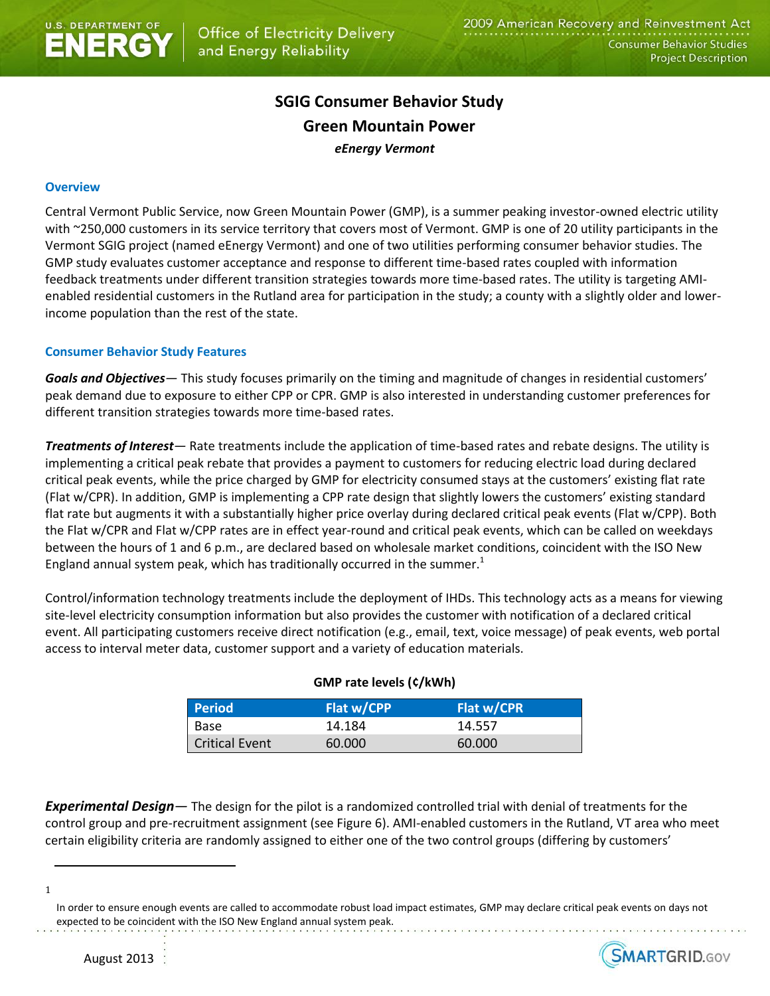# **SGIG Consumer Behavior Study Green Mountain Power** *eEnergy Vermont*

## **Overview**

Central Vermont Public Service, now Green Mountain Power (GMP), is a summer peaking investor-owned electric utility with ~250,000 customers in its service territory that covers most of Vermont. GMP is one of 20 utility participants in the Vermont SGIG project (named eEnergy Vermont) and one of two utilities performing consumer behavior studies. The GMP study evaluates customer acceptance and response to different time-based rates coupled with information feedback treatments under different transition strategies towards more time-based rates. The utility is targeting AMIenabled residential customers in the Rutland area for participation in the study; a county with a slightly older and lowerincome population than the rest of the state.

## **Consumer Behavior Study Features**

*Goals and Objectives—* This study focuses primarily on the timing and magnitude of changes in residential customers' peak demand due to exposure to either CPP or CPR. GMP is also interested in understanding customer preferences for different transition strategies towards more time-based rates.

*Treatments of Interest—* Rate treatments include the application of time-based rates and rebate designs. The utility is implementing a critical peak rebate that provides a payment to customers for reducing electric load during declared critical peak events, while the price charged by GMP for electricity consumed stays at the customers' existing flat rate (Flat w/CPR). In addition, GMP is implementing a CPP rate design that slightly lowers the customers' existing standard flat rate but augments it with a substantially higher price overlay during declared critical peak events (Flat w/CPP). Both the Flat w/CPR and Flat w/CPP rates are in effect year-round and critical peak events, which can be called on weekdays between the hours of 1 and 6 p.m., are declared based on wholesale market conditions, coincident with the ISO New England annual system peak, which has traditionally occurred in the summer.<sup>1</sup>

Control/information technology treatments include the deployment of IHDs. This technology acts as a means for viewing site-level electricity consumption information but also provides the customer with notification of a declared critical event. All participating customers receive direct notification (e.g., email, text, voice message) of peak events, web portal access to interval meter data, customer support and a variety of education materials.

| <b>Period</b>         | Flat w/CPP | Flat w/CPR |  |
|-----------------------|------------|------------|--|
| Base                  | 14.184     | 14.557     |  |
| <b>Critical Event</b> | 60.000     | 60.000     |  |

## **GMP rate levels (¢/kWh)**

*Experimental Design—* The design for the pilot is a randomized controlled trial with denial of treatments for the control group and pre-recruitment assignment (see Figure 6). AMI-enabled customers in the Rutland, VT area who meet certain eligibility criteria are randomly assigned to either one of the two control groups (differing by customers'

1

 $\overline{\phantom{a}}$ 

In order to ensure enough events are called to accommodate robust load impact estimates, GMP may declare critical peak events on days not expected to be coincident with the ISO New England annual system peak.